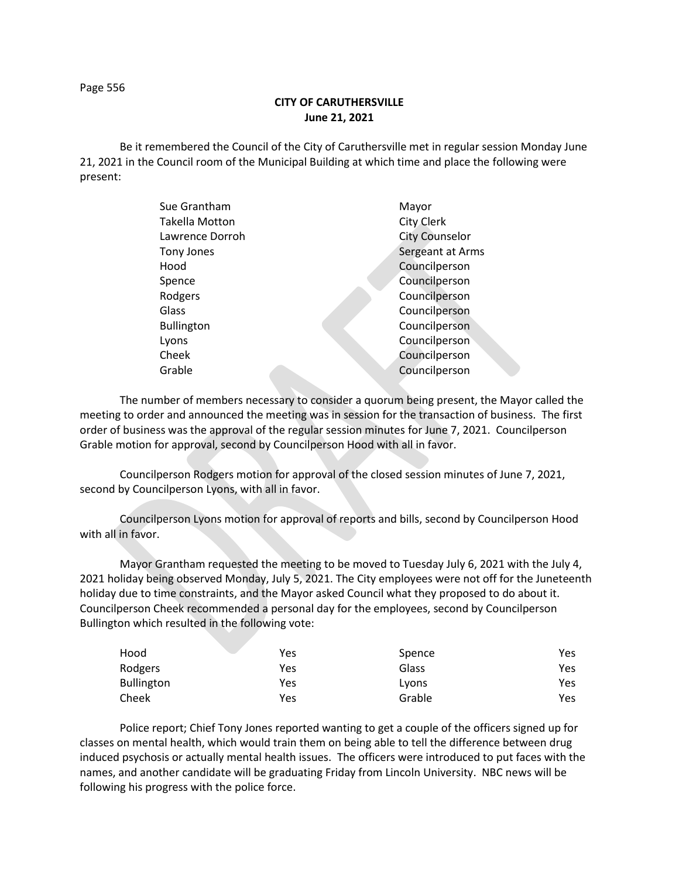Page 556

## **CITY OF CARUTHERSVILLE June 21, 2021**

Be it remembered the Council of the City of Caruthersville met in regular session Monday June 21, 2021 in the Council room of the Municipal Building at which time and place the following were present:

| Sue Grantham      |  | Mayor                 |
|-------------------|--|-----------------------|
| Takella Motton    |  | City Clerk            |
| Lawrence Dorroh   |  | <b>City Counselor</b> |
| Tony Jones        |  | Sergeant at Arms      |
| Hood              |  | Councilperson         |
| Spence            |  | Councilperson         |
| Rodgers           |  | Councilperson         |
| Glass             |  | Councilperson         |
| <b>Bullington</b> |  | Councilperson         |
| Lyons             |  | Councilperson         |
| Cheek             |  | Councilperson         |
| Grable            |  | Councilperson         |
|                   |  |                       |

The number of members necessary to consider a quorum being present, the Mayor called the meeting to order and announced the meeting was in session for the transaction of business. The first order of business was the approval of the regular session minutes for June 7, 2021. Councilperson Grable motion for approval, second by Councilperson Hood with all in favor.

Councilperson Rodgers motion for approval of the closed session minutes of June 7, 2021, second by Councilperson Lyons, with all in favor.

Councilperson Lyons motion for approval of reports and bills, second by Councilperson Hood with all in favor.

Mayor Grantham requested the meeting to be moved to Tuesday July 6, 2021 with the July 4, 2021 holiday being observed Monday, July 5, 2021. The City employees were not off for the Juneteenth holiday due to time constraints, and the Mayor asked Council what they proposed to do about it. Councilperson Cheek recommended a personal day for the employees, second by Councilperson Bullington which resulted in the following vote:

| Hood              | Yes | Spence | Yes |
|-------------------|-----|--------|-----|
| Rodgers           | Yes | Glass  | Yes |
| <b>Bullington</b> | Yes | Lyons  | Yes |
| Cheek             | Yes | Grable | Yes |

Police report; Chief Tony Jones reported wanting to get a couple of the officers signed up for classes on mental health, which would train them on being able to tell the difference between drug induced psychosis or actually mental health issues. The officers were introduced to put faces with the names, and another candidate will be graduating Friday from Lincoln University. NBC news will be following his progress with the police force.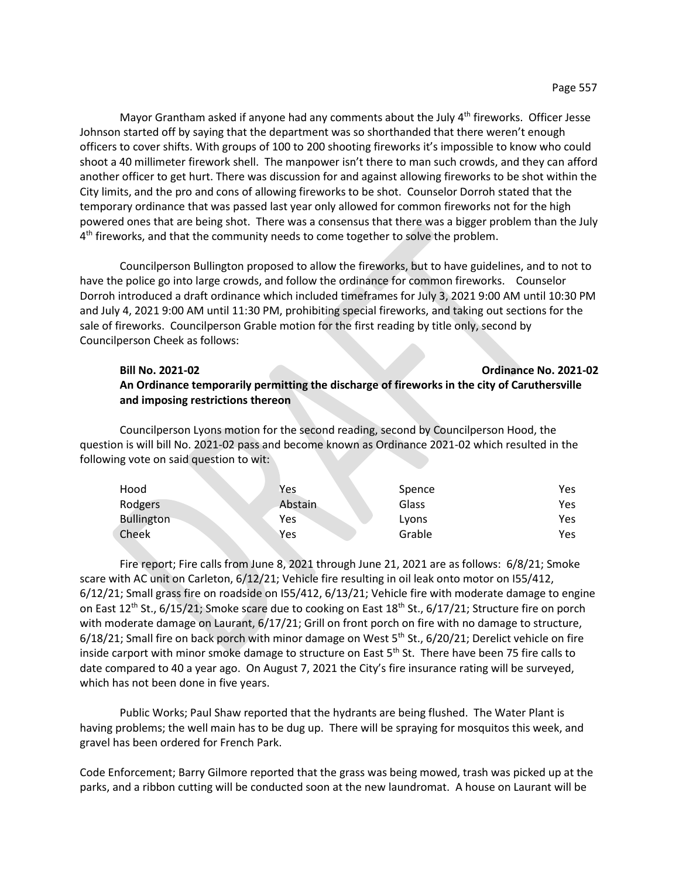Mayor Grantham asked if anyone had any comments about the July  $4<sup>th</sup>$  fireworks. Officer Jesse Johnson started off by saying that the department was so shorthanded that there weren't enough officers to cover shifts. With groups of 100 to 200 shooting fireworks it's impossible to know who could shoot a 40 millimeter firework shell. The manpower isn't there to man such crowds, and they can afford another officer to get hurt. There was discussion for and against allowing fireworks to be shot within the City limits, and the pro and cons of allowing fireworks to be shot. Counselor Dorroh stated that the temporary ordinance that was passed last year only allowed for common fireworks not for the high powered ones that are being shot. There was a consensus that there was a bigger problem than the July 4<sup>th</sup> fireworks, and that the community needs to come together to solve the problem.

Councilperson Bullington proposed to allow the fireworks, but to have guidelines, and to not to have the police go into large crowds, and follow the ordinance for common fireworks. Counselor Dorroh introduced a draft ordinance which included timeframes for July 3, 2021 9:00 AM until 10:30 PM and July 4, 2021 9:00 AM until 11:30 PM, prohibiting special fireworks, and taking out sections for the sale of fireworks. Councilperson Grable motion for the first reading by title only, second by Councilperson Cheek as follows:

## **Bill No. 2021-02 Ordinance No. 2021-02 An Ordinance temporarily permitting the discharge of fireworks in the city of Caruthersville and imposing restrictions thereon**

Councilperson Lyons motion for the second reading, second by Councilperson Hood, the question is will bill No. 2021-02 pass and become known as Ordinance 2021-02 which resulted in the following vote on said question to wit:

| Hood              | Yes     | Spence | Yes |
|-------------------|---------|--------|-----|
| Rodgers           | Abstain | Glass  | Yes |
| <b>Bullington</b> | Yes     | Lyons  | Yes |
| Cheek             | Yes     | Grable | Yes |

Fire report; Fire calls from June 8, 2021 through June 21, 2021 are as follows: 6/8/21; Smoke scare with AC unit on Carleton, 6/12/21; Vehicle fire resulting in oil leak onto motor on I55/412, 6/12/21; Small grass fire on roadside on I55/412, 6/13/21; Vehicle fire with moderate damage to engine on East 12<sup>th</sup> St., 6/15/21; Smoke scare due to cooking on East 18<sup>th</sup> St., 6/17/21; Structure fire on porch with moderate damage on Laurant, 6/17/21; Grill on front porch on fire with no damage to structure,  $6/18/21$ ; Small fire on back porch with minor damage on West  $5<sup>th</sup>$  St.,  $6/20/21$ ; Derelict vehicle on fire inside carport with minor smoke damage to structure on East 5<sup>th</sup> St. There have been 75 fire calls to date compared to 40 a year ago. On August 7, 2021 the City's fire insurance rating will be surveyed, which has not been done in five years.

Public Works; Paul Shaw reported that the hydrants are being flushed. The Water Plant is having problems; the well main has to be dug up. There will be spraying for mosquitos this week, and gravel has been ordered for French Park.

Code Enforcement; Barry Gilmore reported that the grass was being mowed, trash was picked up at the parks, and a ribbon cutting will be conducted soon at the new laundromat. A house on Laurant will be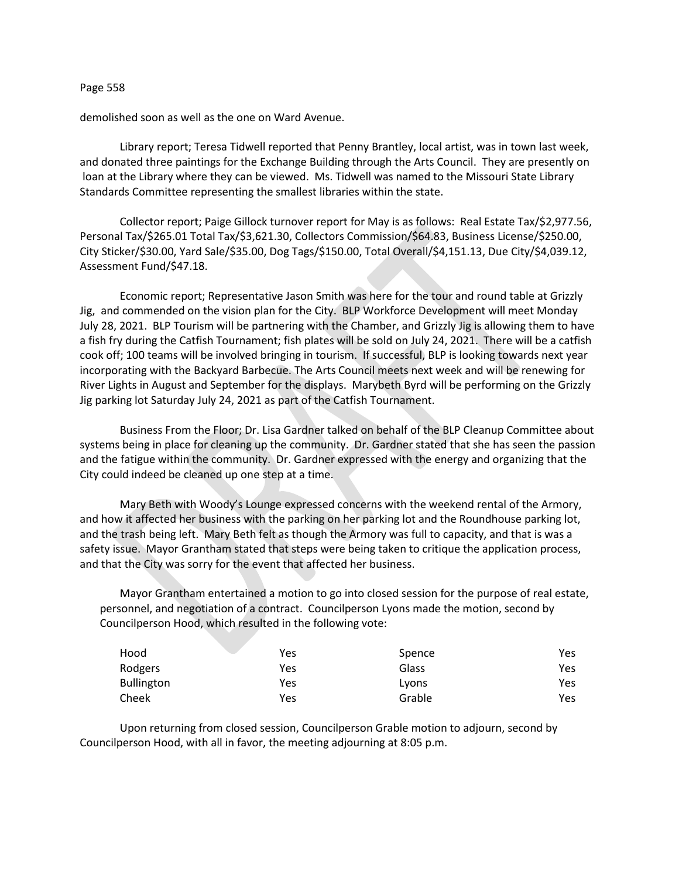## Page 558

demolished soon as well as the one on Ward Avenue.

Library report; Teresa Tidwell reported that Penny Brantley, local artist, was in town last week, and donated three paintings for the Exchange Building through the Arts Council. They are presently on loan at the Library where they can be viewed. Ms. Tidwell was named to the Missouri State Library Standards Committee representing the smallest libraries within the state.

Collector report; Paige Gillock turnover report for May is as follows: Real Estate Tax/\$2,977.56, Personal Tax/\$265.01 Total Tax/\$3,621.30, Collectors Commission/\$64.83, Business License/\$250.00, City Sticker/\$30.00, Yard Sale/\$35.00, Dog Tags/\$150.00, Total Overall/\$4,151.13, Due City/\$4,039.12, Assessment Fund/\$47.18.

Economic report; Representative Jason Smith was here for the tour and round table at Grizzly Jig, and commended on the vision plan for the City. BLP Workforce Development will meet Monday July 28, 2021. BLP Tourism will be partnering with the Chamber, and Grizzly Jig is allowing them to have a fish fry during the Catfish Tournament; fish plates will be sold on July 24, 2021. There will be a catfish cook off; 100 teams will be involved bringing in tourism. If successful, BLP is looking towards next year incorporating with the Backyard Barbecue. The Arts Council meets next week and will be renewing for River Lights in August and September for the displays. Marybeth Byrd will be performing on the Grizzly Jig parking lot Saturday July 24, 2021 as part of the Catfish Tournament.

Business From the Floor; Dr. Lisa Gardner talked on behalf of the BLP Cleanup Committee about systems being in place for cleaning up the community. Dr. Gardner stated that she has seen the passion and the fatigue within the community. Dr. Gardner expressed with the energy and organizing that the City could indeed be cleaned up one step at a time.

Mary Beth with Woody's Lounge expressed concerns with the weekend rental of the Armory, and how it affected her business with the parking on her parking lot and the Roundhouse parking lot, and the trash being left. Mary Beth felt as though the Armory was full to capacity, and that is was a safety issue. Mayor Grantham stated that steps were being taken to critique the application process, and that the City was sorry for the event that affected her business.

Mayor Grantham entertained a motion to go into closed session for the purpose of real estate, personnel, and negotiation of a contract. Councilperson Lyons made the motion, second by Councilperson Hood, which resulted in the following vote:

| Hood              | Yes | Spence | Yes  |
|-------------------|-----|--------|------|
| Rodgers           | Yes | Glass  | Yes  |
| <b>Bullington</b> | Yes | Lyons  | Yes. |
| Cheek             | Yes | Grable | Yes. |

Upon returning from closed session, Councilperson Grable motion to adjourn, second by Councilperson Hood, with all in favor, the meeting adjourning at 8:05 p.m.